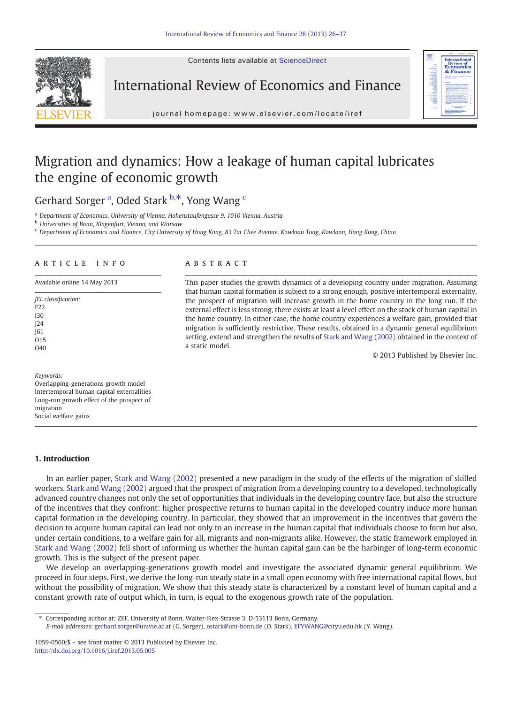Contents lists available at ScienceDirect



International Review of Economics and Finance



journal homepage: www.elsevier.com/locate/iref

## Migration and dynamics: How a leakage of human capital lubricates the engine of economic growth

Gerhard Sorger <sup>a</sup>, Oded Stark <sup>b,\*</sup>, Yong Wang <sup>c</sup>

<sup>a</sup> Department of Economics, University of Vienna, Hohenstaufengasse 9, 1010 Vienna, Austria

**b** Universities of Bonn, Klagenfurt, Vienna, and Warsaw

<sup>c</sup> Department of Economics and Finance, City University of Hong Kong, 83 Tat Chee Avenue, Kowloon Tong, Kowloon, Hong Kong, China

### article info abstract

Keywords:

Overlapping-generations growth model Intertemporal human capital externalities Long-run growth effect of the prospect of migration Social welfare gains

### 1. Introduction

In an earlier paper, [Stark and Wang \(2002\)](#page--1-0) presented a new paradigm in the study of the effects of the migration of skilled workers. [Stark and Wang \(2002\)](#page--1-0) argued that the prospect of migration from a developing country to a developed, technologically advanced country changes not only the set of opportunities that individuals in the developing country face, but also the structure of the incentives that they confront: higher prospective returns to human capital in the developed country induce more human capital formation in the developing country. In particular, they showed that an improvement in the incentives that govern the decision to acquire human capital can lead not only to an increase in the human capital that individuals choose to form but also, under certain conditions, to a welfare gain for all, migrants and non-migrants alike. However, the static framework employed in [Stark and Wang \(2002\)](#page--1-0) fell short of informing us whether the human capital gain can be the harbinger of long-term economic growth. This is the subject of the present paper.

We develop an overlapping-generations growth model and investigate the associated dynamic general equilibrium. We proceed in four steps. First, we derive the long-run steady state in a small open economy with free international capital flows, but without the possibility of migration. We show that this steady state is characterized by a constant level of human capital and a constant growth rate of output which, in turn, is equal to the exogenous growth rate of the population.

⁎ Corresponding author at: ZEF, University of Bonn, Walter-Flex-Strasse 3, D-53113 Bonn, Germany.

E-mail addresses: [gerhard.sorger@univie.ac.at](mailto:gerhard.sorger@univie.ac.at) (G. Sorger), [ostark@uni-bonn.de](mailto:ostark@uni-bonn.de) (O. Stark), [EFYWANG@cityu.edu.hk](mailto:EFYWANG@cityu.edu.hk) (Y. Wang).

Available online 14 May 2013 This paper studies the growth dynamics of a developing country under migration. Assuming that human capital formation is subject to a strong enough, positive intertemporal externality, the prospect of migration will increase growth in the home country in the long run. If the external effect is less strong, there exists at least a level effect on the stock of human capital in the home country. In either case, the home country experiences a welfare gain, provided that migration is sufficiently restrictive. These results, obtained in a dynamic general equilibrium setting, extend and strengthen the results of [Stark and Wang \(2002\)](#page--1-0) obtained in the context of a static model.

© 2013 Published by Elsevier Inc.

JEL classification: F22 I30 J24 J61 O15  $040$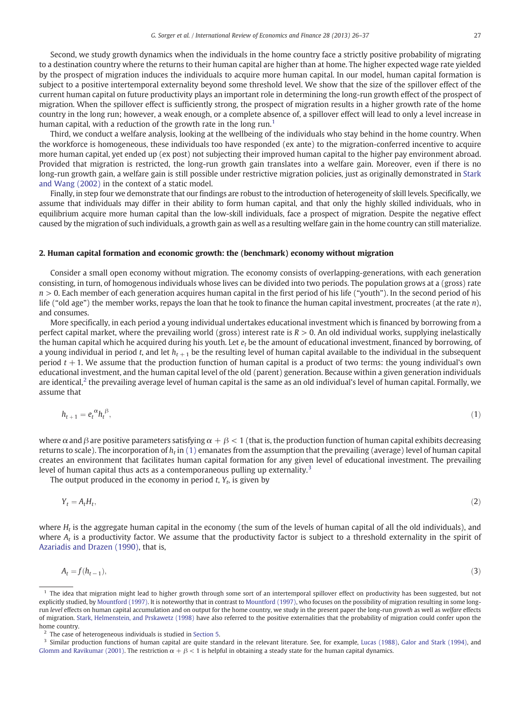Second, we study growth dynamics when the individuals in the home country face a strictly positive probability of migrating to a destination country where the returns to their human capital are higher than at home. The higher expected wage rate yielded by the prospect of migration induces the individuals to acquire more human capital. In our model, human capital formation is subject to a positive intertemporal externality beyond some threshold level. We show that the size of the spillover effect of the current human capital on future productivity plays an important role in determining the long-run growth effect of the prospect of migration. When the spillover effect is sufficiently strong, the prospect of migration results in a higher growth rate of the home country in the long run; however, a weak enough, or a complete absence of, a spillover effect will lead to only a level increase in human capital, with a reduction of the growth rate in the long run.<sup>1</sup>

Third, we conduct a welfare analysis, looking at the wellbeing of the individuals who stay behind in the home country. When the workforce is homogeneous, these individuals too have responded (ex ante) to the migration-conferred incentive to acquire more human capital, yet ended up (ex post) not subjecting their improved human capital to the higher pay environment abroad. Provided that migration is restricted, the long-run growth gain translates into a welfare gain. Moreover, even if there is no long-run growth gain, a welfare gain is still possible under restrictive migration policies, just as originally demonstrated in [Stark](#page--1-0) [and Wang \(2002\)](#page--1-0) in the context of a static model.

Finally, in step four we demonstrate that our findings are robust to the introduction of heterogeneity of skill levels. Specifically, we assume that individuals may differ in their ability to form human capital, and that only the highly skilled individuals, who in equilibrium acquire more human capital than the low-skill individuals, face a prospect of migration. Despite the negative effect caused by the migration of such individuals, a growth gain as well as a resulting welfare gain in the home country can still materialize.

### 2. Human capital formation and economic growth: the (benchmark) economy without migration

Consider a small open economy without migration. The economy consists of overlapping-generations, with each generation consisting, in turn, of homogenous individuals whose lives can be divided into two periods. The population grows at a (gross) rate  $n > 0$ . Each member of each generation acquires human capital in the first period of his life ("youth"). In the second period of his life ("old age") the member works, repays the loan that he took to finance the human capital investment, procreates (at the rate  $n$ ), and consumes.

More specifically, in each period a young individual undertakes educational investment which is financed by borrowing from a perfect capital market, where the prevailing world (gross) interest rate is  $R > 0$ . An old individual works, supplying inelastically the human capital which he acquired during his youth. Let  $e_t$  be the amount of educational investment, financed by borrowing, of a young individual in period t, and let  $h_{t+1}$  be the resulting level of human capital available to the individual in the subsequent period  $t + 1$ . We assume that the production function of human capital is a product of two terms: the young individual's own educational investment, and the human capital level of the old (parent) generation. Because within a given generation individuals are identical,<sup>2</sup> the prevailing average level of human capital is the same as an old individual's level of human capital. Formally, we assume that

$$
h_{t+1} = e_t^{\alpha} h_t^{\beta}, \tag{1}
$$

where  $\alpha$  and  $\beta$  are positive parameters satisfying  $\alpha + \beta < 1$  (that is, the production function of human capital exhibits decreasing returns to scale). The incorporation of  $h_t$  in (1) emanates from the assumption that the prevailing (average) level of human capital creates an environment that facilitates human capital formation for any given level of educational investment. The prevailing level of human capital thus acts as a contemporaneous pulling up externality.<sup>3</sup>

The output produced in the economy in period  $t$ ,  $Y_t$ , is given by

$$
Y_t = A_t H_t,\tag{2}
$$

where  $H_t$  is the aggregate human capital in the economy (the sum of the levels of human capital of all the old individuals), and where  $A_t$  is a productivity factor. We assume that the productivity factor is subject to a threshold externality in the spirit of [Azariadis and Drazen \(1990\)](#page--1-0), that is,

$$
A_t = f(h_{t-1}),\tag{3}
$$

$$
f_{\rm{max}}
$$

 $<sup>1</sup>$  The idea that migration might lead to higher growth through some sort of an intertemporal spillover effect on productivity has been suggested, but not</sup> explicitly studied, by [Mountford \(1997\).](#page--1-0) It is noteworthy that in contrast to [Mountford \(1997\)](#page--1-0), who focuses on the possibility of migration resulting in some longrun level effects on human capital accumulation and on output for the home country, we study in the present paper the long-run growth as well as welfare effects of migration. [Stark, Helmenstein, and Prskawetz \(1998\)](#page--1-0) have also referred to the positive externalities that the probability of migration could confer upon the home country.

<sup>2</sup> The case of heterogeneous individuals is studied in [Section 5.](#page--1-0)

<sup>&</sup>lt;sup>3</sup> Similar production functions of human capital are quite standard in the relevant literature. See, for example, [Lucas \(1988\),](#page--1-0) [Galor and Stark \(1994\),](#page--1-0) and [Glomm and Ravikumar \(2001\)](#page--1-0). The restriction  $\alpha + \beta < 1$  is helpful in obtaining a steady state for the human capital dynamics.